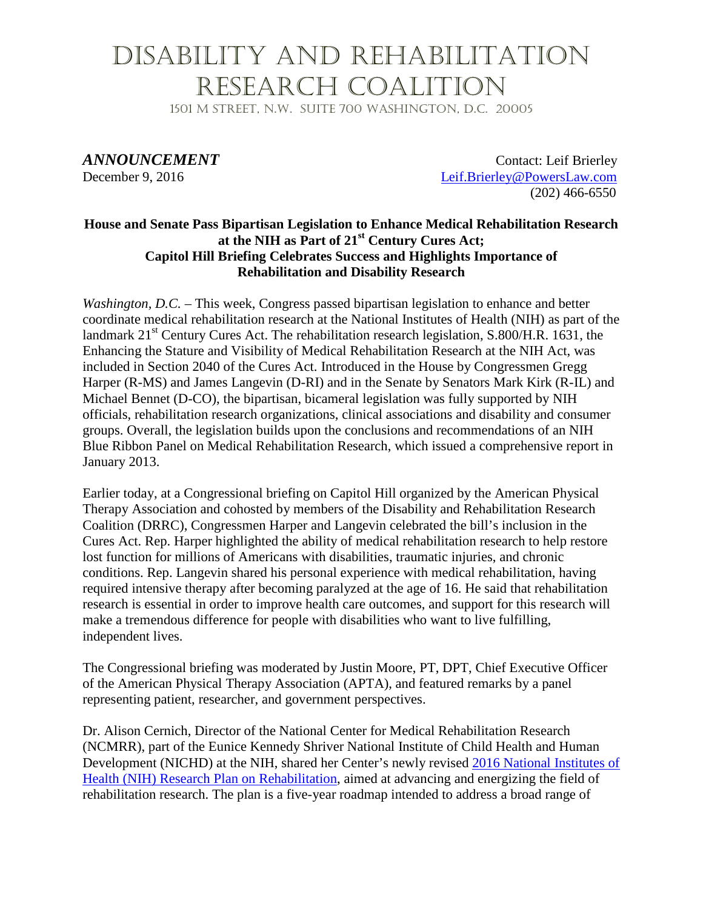### Disability and Rehabilitation Research Coalition

1501 M Street, N.W. Suite 700 Washington, D.C. 20005

*ANNOUNCEMENT* Contact: Leif Brierley December 9, 2016 [Leif.Brierley@PowersLaw.com](mailto:Leif.Brierley@PowersLaw.com) (202) 466-6550

#### **House and Senate Pass Bipartisan Legislation to Enhance Medical Rehabilitation Research at the NIH as Part of 21st Century Cures Act; Capitol Hill Briefing Celebrates Success and Highlights Importance of Rehabilitation and Disability Research**

*Washington, D.C.* – This week, Congress passed bipartisan legislation to enhance and better coordinate medical rehabilitation research at the National Institutes of Health (NIH) as part of the landmark  $21<sup>st</sup>$  Century Cures Act. The rehabilitation research legislation, S.800/H.R. 1631, the Enhancing the Stature and Visibility of Medical Rehabilitation Research at the NIH Act, was included in Section 2040 of the Cures Act. Introduced in the House by Congressmen Gregg Harper (R-MS) and James Langevin (D-RI) and in the Senate by Senators Mark Kirk (R-IL) and Michael Bennet (D-CO), the bipartisan, bicameral legislation was fully supported by NIH officials, rehabilitation research organizations, clinical associations and disability and consumer groups. Overall, the legislation builds upon the conclusions and recommendations of an NIH Blue Ribbon Panel on Medical Rehabilitation Research, which issued a comprehensive report in January 2013.

Earlier today, at a Congressional briefing on Capitol Hill organized by the American Physical Therapy Association and cohosted by members of the Disability and Rehabilitation Research Coalition (DRRC), Congressmen Harper and Langevin celebrated the bill's inclusion in the Cures Act. Rep. Harper highlighted the ability of medical rehabilitation research to help restore lost function for millions of Americans with disabilities, traumatic injuries, and chronic conditions. Rep. Langevin shared his personal experience with medical rehabilitation, having required intensive therapy after becoming paralyzed at the age of 16. He said that rehabilitation research is essential in order to improve health care outcomes, and support for this research will make a tremendous difference for people with disabilities who want to live fulfilling, independent lives.

The Congressional briefing was moderated by Justin Moore, PT, DPT, Chief Executive Officer of the American Physical Therapy Association (APTA), and featured remarks by a panel representing patient, researcher, and government perspectives.

Dr. Alison Cernich, Director of the National Center for Medical Rehabilitation Research (NCMRR), part of the Eunice Kennedy Shriver National Institute of Child Health and Human Development (NICHD) at the NIH, shared her Center's newly revised [2016 National Institutes of](https://www.nichd.nih.gov/publications/pubs/Documents/NIH_ResearchPlan_Rehabilitation.pdf)  [Health \(NIH\) Research Plan on Rehabilitation,](https://www.nichd.nih.gov/publications/pubs/Documents/NIH_ResearchPlan_Rehabilitation.pdf) aimed at advancing and energizing the field of rehabilitation research. The plan is a five-year roadmap intended to address a broad range of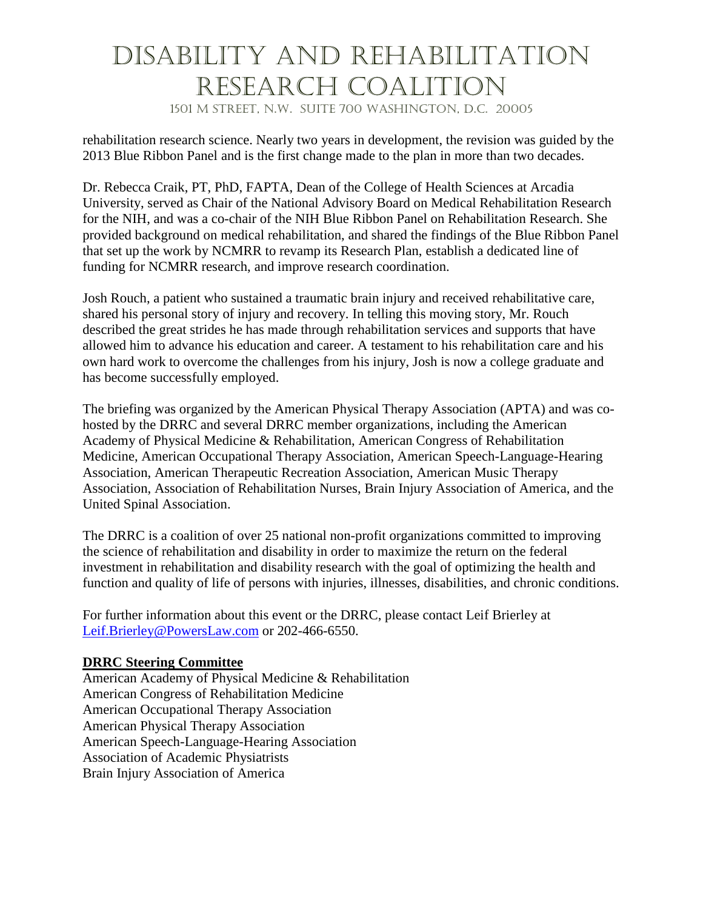# Disability and Rehabilitation Research Coalition

1501 M Street, N.W. Suite 700 Washington, D.C. 20005

rehabilitation research science. Nearly two years in development, the revision was guided by the 2013 Blue Ribbon Panel and is the first change made to the plan in more than two decades.

Dr. Rebecca Craik, PT, PhD, FAPTA, Dean of the College of Health Sciences at Arcadia University, served as Chair of the National Advisory Board on Medical Rehabilitation Research for the NIH, and was a co-chair of the NIH Blue Ribbon Panel on Rehabilitation Research. She provided background on medical rehabilitation, and shared the findings of the Blue Ribbon Panel that set up the work by NCMRR to revamp its Research Plan, establish a dedicated line of funding for NCMRR research, and improve research coordination.

Josh Rouch, a patient who sustained a traumatic brain injury and received rehabilitative care, shared his personal story of injury and recovery. In telling this moving story, Mr. Rouch described the great strides he has made through rehabilitation services and supports that have allowed him to advance his education and career. A testament to his rehabilitation care and his own hard work to overcome the challenges from his injury, Josh is now a college graduate and has become successfully employed.

The briefing was organized by the American Physical Therapy Association (APTA) and was cohosted by the DRRC and several DRRC member organizations, including the American Academy of Physical Medicine & Rehabilitation, American Congress of Rehabilitation Medicine, American Occupational Therapy Association, American Speech-Language-Hearing Association, American Therapeutic Recreation Association, American Music Therapy Association, Association of Rehabilitation Nurses, Brain Injury Association of America, and the United Spinal Association.

The DRRC is a coalition of over 25 national non-profit organizations committed to improving the science of rehabilitation and disability in order to maximize the return on the federal investment in rehabilitation and disability research with the goal of optimizing the health and function and quality of life of persons with injuries, illnesses, disabilities, and chronic conditions.

For further information about this event or the DRRC, please contact Leif Brierley at [Leif.Brierley@PowersLaw.com](mailto:Leif.Brierley@PowersLaw.com) or 202-466-6550.

#### **DRRC Steering Committee**

American Academy of Physical Medicine & Rehabilitation American Congress of Rehabilitation Medicine American Occupational Therapy Association American Physical Therapy Association American Speech-Language-Hearing Association Association of Academic Physiatrists Brain Injury Association of America